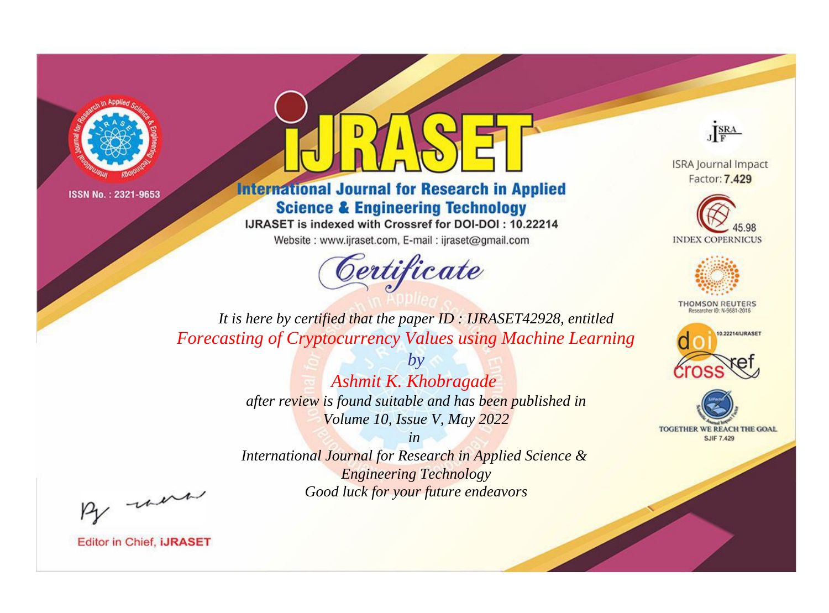



**International Journal for Research in Applied Science & Engineering Technology** 

IJRASET is indexed with Crossref for DOI-DOI: 10.22214

Website: www.ijraset.com, E-mail: ijraset@gmail.com



JERA

**ISRA Journal Impact** Factor: 7.429





**THOMSON REUTERS** 



TOGETHER WE REACH THE GOAL **SJIF 7.429** 

*It is here by certified that the paper ID : IJRASET42928, entitled Forecasting of Cryptocurrency Values using Machine Learning*

> *by Ashmit K. Khobragade after review is found suitable and has been published in Volume 10, Issue V, May 2022*

> > *in*

*International Journal for Research in Applied Science & Engineering Technology Good luck for your future endeavors*

By morn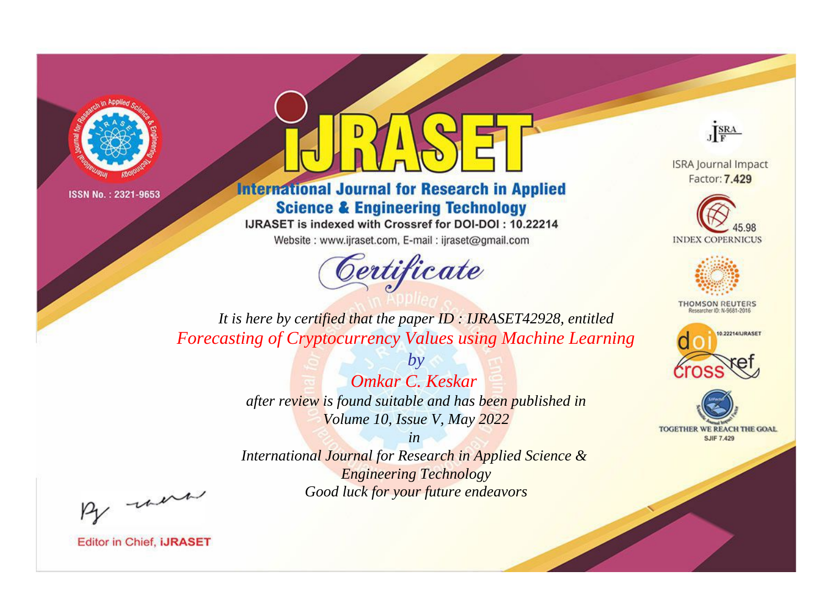



**International Journal for Research in Applied Science & Engineering Technology** 

IJRASET is indexed with Crossref for DOI-DOI: 10.22214

Website: www.ijraset.com, E-mail: ijraset@gmail.com



JERA

**ISRA Journal Impact** Factor: 7.429





**THOMSON REUTERS** 



TOGETHER WE REACH THE GOAL **SJIF 7.429** 

*It is here by certified that the paper ID : IJRASET42928, entitled Forecasting of Cryptocurrency Values using Machine Learning*

> *by Omkar C. Keskar after review is found suitable and has been published in Volume 10, Issue V, May 2022*

> > *in*

*International Journal for Research in Applied Science & Engineering Technology Good luck for your future endeavors*

By morn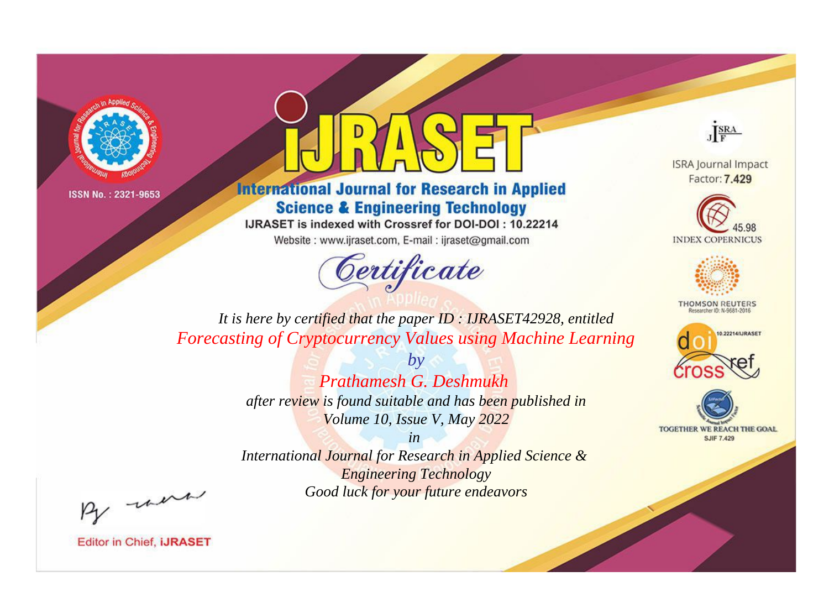



**International Journal for Research in Applied Science & Engineering Technology** 

IJRASET is indexed with Crossref for DOI-DOI: 10.22214

Website: www.ijraset.com, E-mail: ijraset@gmail.com



JERA

**ISRA Journal Impact** Factor: 7.429





**THOMSON REUTERS** 



TOGETHER WE REACH THE GOAL **SJIF 7.429** 

It is here by certified that the paper ID: IJRASET42928, entitled **Forecasting of Cryptocurrency Values using Machine Learning** 

> $b\nu$ Prathamesh G. Deshmukh after review is found suitable and has been published in Volume 10, Issue V, May 2022

> $in$ International Journal for Research in Applied Science & **Engineering Technology**

> > Good luck for your future endeavors

By morn